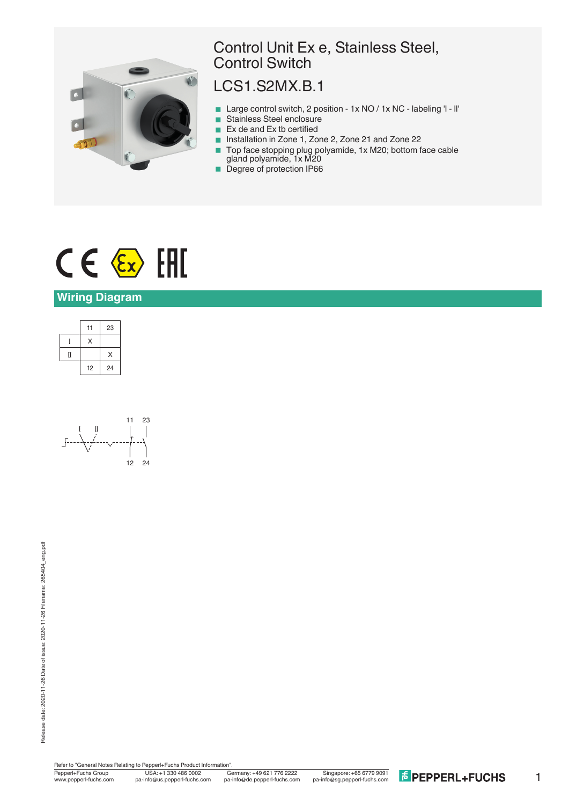

## Control Unit Ex e, Stainless Steel, Control Switch

## LCS1.S2MX.B.1

- Large control switch, 2 position 1x NO / 1x NC labeling 'l ll'
- Stainless Steel enclosure
- Ex de and Ex tb certified<br>■ Installation in Zone 1, Zo
- < Installation in Zone 1, Zone 2, Zone 21 and Zone 22
- Top face stopping plug polyamide, 1x M20; bottom face cable gland polyamide, 1x M20
- **Degree of protection IP66**

# $C \in \langle \overline{\epsilon_x} \rangle$  [FII]

#### **Wiring Diagram**





Refer to "General Notes Relating to Pepperl+Fuchs Product Information".

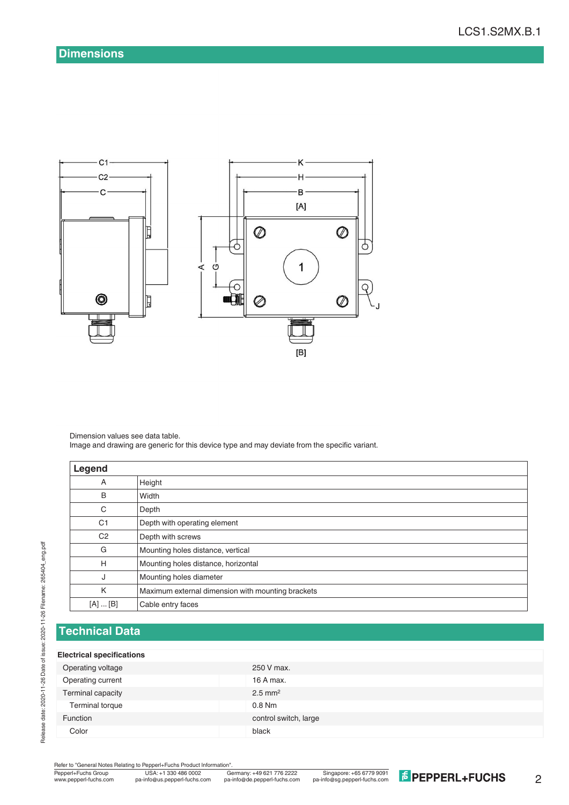

Dimension values see data table. Image and drawing are generic for this device type and may deviate from the specific variant.

| Legend          |                                                   |
|-----------------|---------------------------------------------------|
| A               | Height                                            |
| B               | Width                                             |
| C               | Depth                                             |
| C <sub>1</sub>  | Depth with operating element                      |
| C <sub>2</sub>  | Depth with screws                                 |
| G               | Mounting holes distance, vertical                 |
| H               | Mounting holes distance, horizontal               |
| J               | Mounting holes diameter                           |
| K               | Maximum external dimension with mounting brackets |
| $[A] \dots [B]$ | Cable entry faces                                 |

### **Technical Data**

#### **Electrical specifications**

| 250 V max.            |
|-----------------------|
| 16 A max.             |
| $2.5$ mm <sup>2</sup> |
| $0.8$ Nm              |
| control switch, large |
|                       |
|                       |

Refer to "General Notes Relating to Pepperl+Fuchs Product Information"<br>
Pepperl+Fuchs Group<br>
Www.pepperl-fuchs.com pa-info@us.pepperl-fuchs.com pa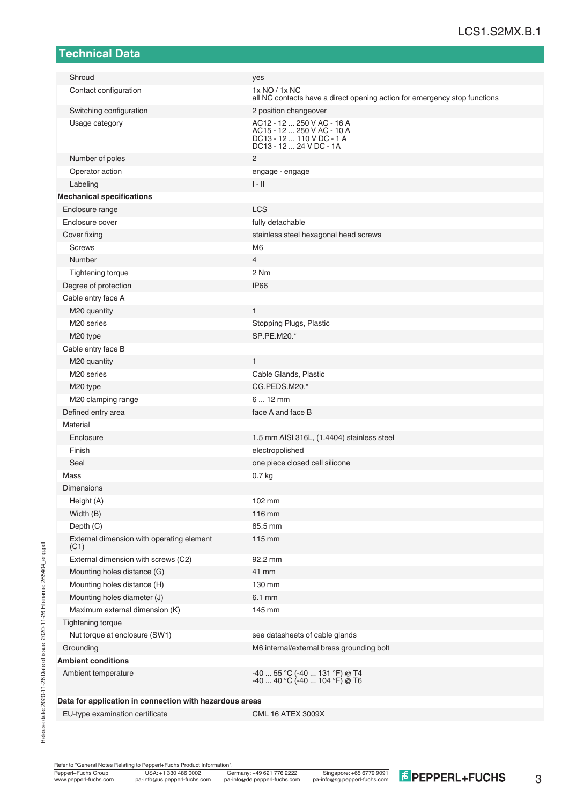#### **Technical Data**

| Shroud                                                  | yes                                                                                                              |  |  |  |
|---------------------------------------------------------|------------------------------------------------------------------------------------------------------------------|--|--|--|
| Contact configuration                                   | 1x NO / 1x NC<br>all NC contacts have a direct opening action for emergency stop functions                       |  |  |  |
| Switching configuration                                 | 2 position changeover                                                                                            |  |  |  |
| Usage category                                          | AC12 - 12  250 V AC - 16 A<br>AC15 - 12  250 V AC - 10 A<br>DC13 - 12  110 V DC - 1 A<br>DC13 - 12  24 V DC - 1A |  |  |  |
| Number of poles                                         | 2                                                                                                                |  |  |  |
| Operator action                                         | engage - engage                                                                                                  |  |  |  |
| Labeling                                                | $\  - \ $                                                                                                        |  |  |  |
| <b>Mechanical specifications</b>                        |                                                                                                                  |  |  |  |
| Enclosure range                                         | <b>LCS</b>                                                                                                       |  |  |  |
| Enclosure cover                                         | fully detachable                                                                                                 |  |  |  |
| Cover fixing                                            | stainless steel hexagonal head screws                                                                            |  |  |  |
| <b>Screws</b>                                           | M <sub>6</sub>                                                                                                   |  |  |  |
| Number                                                  | 4                                                                                                                |  |  |  |
| <b>Tightening torque</b>                                | 2 Nm                                                                                                             |  |  |  |
| Degree of protection                                    | IP <sub>66</sub>                                                                                                 |  |  |  |
| Cable entry face A                                      |                                                                                                                  |  |  |  |
| M20 quantity                                            | $\mathbf{1}$                                                                                                     |  |  |  |
| M <sub>20</sub> series                                  | Stopping Plugs, Plastic                                                                                          |  |  |  |
| M20 type                                                | SP.PE.M20.*                                                                                                      |  |  |  |
| Cable entry face B                                      |                                                                                                                  |  |  |  |
| M20 quantity                                            | $\mathbf{1}$                                                                                                     |  |  |  |
| M <sub>20</sub> series                                  | Cable Glands, Plastic                                                                                            |  |  |  |
| M20 type                                                | CG.PEDS.M20.*                                                                                                    |  |  |  |
| M20 clamping range                                      | $612$ mm                                                                                                         |  |  |  |
| Defined entry area                                      | face A and face B                                                                                                |  |  |  |
| Material                                                |                                                                                                                  |  |  |  |
| Enclosure                                               | 1.5 mm AISI 316L, (1.4404) stainless steel                                                                       |  |  |  |
| Finish                                                  | electropolished                                                                                                  |  |  |  |
| Seal                                                    | one piece closed cell silicone                                                                                   |  |  |  |
| Mass                                                    | 0.7 <sub>kg</sub>                                                                                                |  |  |  |
| Dimensions                                              |                                                                                                                  |  |  |  |
| Height (A)                                              | 102 mm                                                                                                           |  |  |  |
| Width (B)                                               | 116 mm                                                                                                           |  |  |  |
| Depth (C)                                               | 85.5 mm                                                                                                          |  |  |  |
| External dimension with operating element<br>(C1)       | 115 mm                                                                                                           |  |  |  |
| External dimension with screws (C2)                     | 92.2 mm                                                                                                          |  |  |  |
| Mounting holes distance (G)                             | 41 mm                                                                                                            |  |  |  |
| Mounting holes distance (H)                             | 130 mm                                                                                                           |  |  |  |
| Mounting holes diameter (J)                             | 6.1 mm                                                                                                           |  |  |  |
| Maximum external dimension (K)                          | 145 mm                                                                                                           |  |  |  |
| <b>Tightening torque</b>                                |                                                                                                                  |  |  |  |
| Nut torque at enclosure (SW1)                           | see datasheets of cable glands                                                                                   |  |  |  |
| Grounding                                               | M6 internal/external brass grounding bolt                                                                        |  |  |  |
| <b>Ambient conditions</b>                               |                                                                                                                  |  |  |  |
| Ambient temperature                                     | -40  55 °C (-40  131 °F) @ T4<br>$-4040 °C (-40104 °F) @ T6$                                                     |  |  |  |
| Data for application in connection with hazardous areas |                                                                                                                  |  |  |  |

EU-type examination certificate CML 16 ATEX 3009X

Refer to "General Notes Relating to Pepperl+Fuchs Product Information".